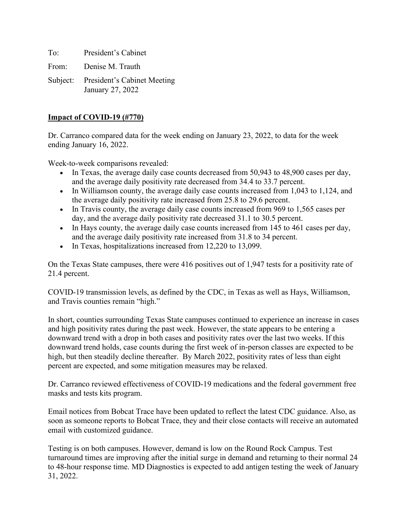To: President's Cabinet

From: Denise M. Trauth

Subject: President's Cabinet Meeting January 27, 2022

### **Impact of COVID-19 (#770)**

Dr. Carranco compared data for the week ending on January 23, 2022, to data for the week ending January 16, 2022.

Week-to-week comparisons revealed:

- In Texas, the average daily case counts decreased from 50,943 to 48,900 cases per day, and the average daily positivity rate decreased from 34.4 to 33.7 percent.
- In Williamson county, the average daily case counts increased from 1,043 to 1,124, and the average daily positivity rate increased from 25.8 to 29.6 percent.
- In Travis county, the average daily case counts increased from 969 to 1,565 cases per day, and the average daily positivity rate decreased 31.1 to 30.5 percent.
- In Hays county, the average daily case counts increased from 145 to 461 cases per day, and the average daily positivity rate increased from 31.8 to 34 percent.
- In Texas, hospitalizations increased from 12,220 to 13,099.

On the Texas State campuses, there were 416 positives out of 1,947 tests for a positivity rate of 21.4 percent.

COVID-19 transmission levels, as defined by the CDC, in Texas as well as Hays, Williamson, and Travis counties remain "high."

In short, counties surrounding Texas State campuses continued to experience an increase in cases and high positivity rates during the past week. However, the state appears to be entering a downward trend with a drop in both cases and positivity rates over the last two weeks. If this downward trend holds, case counts during the first week of in-person classes are expected to be high, but then steadily decline thereafter. By March 2022, positivity rates of less than eight percent are expected, and some mitigation measures may be relaxed.

Dr. Carranco reviewed effectiveness of COVID-19 medications and the federal government free masks and tests kits program.

Email notices from Bobcat Trace have been updated to reflect the latest CDC guidance. Also, as soon as someone reports to Bobcat Trace, they and their close contacts will receive an automated email with customized guidance.

Testing is on both campuses. However, demand is low on the Round Rock Campus. Test turnaround times are improving after the initial surge in demand and returning to their normal 24 to 48-hour response time. MD Diagnostics is expected to add antigen testing the week of January 31, 2022.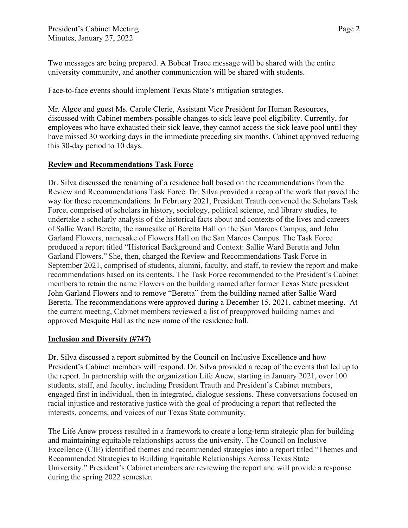Two messages are being prepared. A Bobcat Trace message will be shared with the entire university community, and another communication will be shared with students.

Face-to-face events should implement Texas State's mitigation strategies.

Mr. Algoe and guest Ms. Carole Clerie, Assistant Vice President for Human Resources, discussed with Cabinet members possible changes to sick leave pool eligibility. Currently, for employees who have exhausted their sick leave, they cannot access the sick leave pool until they have missed 30 working days in the immediate preceding six months. Cabinet approved reducing this 30-day period to 10 days.

# **Review and Recommendations Task Force**

Dr. Silva discussed the renaming of a residence hall based on the recommendations from the Review and Recommendations Task Force. Dr. Silva provided a recap of the work that paved the way for these recommendations. In February 2021, President Trauth convened the Scholars Task Force, comprised of scholars in history, sociology, political science, and library studies, to undertake a scholarly analysis of the historical facts about and contexts of the lives and careers of Sallie Ward Beretta, the namesake of Beretta Hall on the San Marcos Campus, and John Garland Flowers, namesake of Flowers Hall on the San Marcos Campus. The Task Force produced a report titled "Historical Background and Context: Sallie Ward Beretta and John Garland Flowers." She, then, charged the Review and Recommendations Task Force in September 2021, comprised of students, alumni, faculty, and staff, to review the report and make recommendations based on its contents. The Task Force recommended to the President's Cabinet members to retain the name Flowers on the building named after former Texas State president John Garland Flowers and to remove "Beretta" from the building named after Sallie Ward Beretta. The recommendations were approved during a December 15, 2021, cabinet meeting. At the current meeting, Cabinet members reviewed a list of preapproved building names and approved Mesquite Hall as the new name of the residence hall.

# **Inclusion and Diversity (#747)**

Dr. Silva discussed a report submitted by the Council on Inclusive Excellence and how President's Cabinet members will respond. Dr. Silva provided a recap of the events that led up to the report. In partnership with the organization Life Anew, starting in January 2021, over 100 students, staff, and faculty, including President Trauth and President's Cabinet members, engaged first in individual, then in integrated, dialogue sessions. These conversations focused on racial injustice and restorative justice with the goal of producing a report that reflected the interests, concerns, and voices of our Texas State community.

The Life Anew process resulted in a framework to create a long-term strategic plan for building and maintaining equitable relationships across the university. The Council on Inclusive Excellence (CIE) identified themes and recommended strategies into a report titled "Themes and Recommended Strategies to Building Equitable Relationships Across Texas State University." President's Cabinet members are reviewing the report and will provide a response during the spring 2022 semester.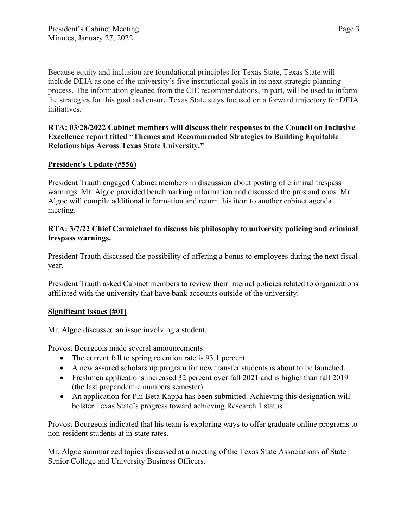Because equity and inclusion are foundational principles for Texas State, Texas State will include DEIA as one of the university's five institutional goals in its next strategic planning process. The information gleaned from the CIE recommendations, in part, will be used to inform the strategies for this goal and ensure Texas State stays focused on a forward trajectory for DEIA initiatives.

**RTA: 03/28/2022 Cabinet members will discuss their responses to the Council on Inclusive Excellence report titled "Themes and Recommended Strategies to Building Equitable Relationships Across Texas State University."** 

# **President's Update (#556)**

President Trauth engaged Cabinet members in discussion about posting of criminal trespass warnings. Mr. Algoe provided benchmarking information and discussed the pros and cons. Mr. Algoe will compile additional information and return this item to another cabinet agenda meeting.

# **RTA: 3/7/22 Chief Carmichael to discuss his philosophy to university policing and criminal trespass warnings.**

President Trauth discussed the possibility of offering a bonus to employees during the next fiscal year.

President Trauth asked Cabinet members to review their internal policies related to organizations affiliated with the university that have bank accounts outside of the university.

# **Significant Issues (#01)**

Mr. Algoe discussed an issue involving a student.

Provost Bourgeois made several announcements:

- The current fall to spring retention rate is 93.1 percent.
- A new assured scholarship program for new transfer students is about to be launched.
- Freshmen applications increased 32 percent over fall 2021 and is higher than fall 2019 (the last prepandemic numbers semester).
- An application for Phi Beta Kappa has been submitted. Achieving this designation will bolster Texas State's progress toward achieving Research 1 status.

Provost Bourgeois indicated that his team is exploring ways to offer graduate online programs to non-resident students at in-state rates.

Mr. Algoe summarized topics discussed at a meeting of the Texas State Associations of State Senior College and University Business Officers.